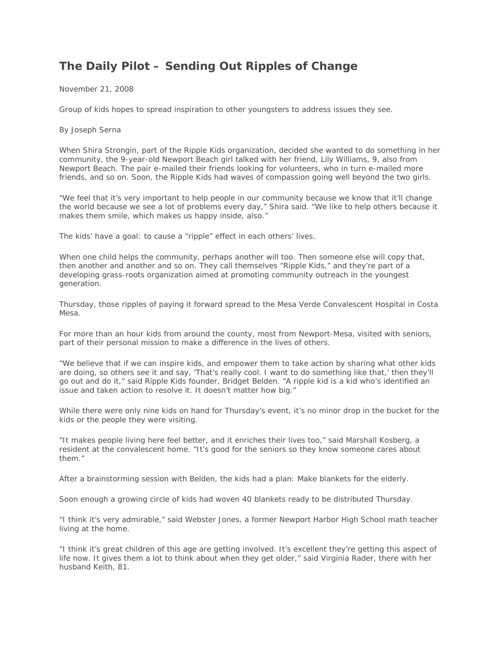## **The Daily Pilot – Sending Out Ripples of Change**

November 21, 2008

Group of kids hopes to spread inspiration to other youngsters to address issues they see.

By Joseph Serna

When Shira Strongin, part of the Ripple Kids organization, decided she wanted to do something in her community, the 9-year-old Newport Beach girl talked with her friend, Lily Williams, 9, also from Newport Beach. The pair e-mailed their friends looking for volunteers, who in turn e-mailed more friends, and so on. Soon, the Ripple Kids had waves of compassion going well beyond the two girls.

"We feel that it's very important to help people in our community because we know that it'll change the world because we see a lot of problems every day," Shira said. "We like to help others because it makes them smile, which makes us happy inside, also."

The kids' have a goal: to cause a "ripple" effect in each others' lives.

When one child helps the community, perhaps another will too. Then someone else will copy that, then another and another and so on. They call themselves "Ripple Kids," and they're part of a developing grass-roots organization aimed at promoting community outreach in the youngest generation.

Thursday, those ripples of paying it forward spread to the Mesa Verde Convalescent Hospital in Costa Mesa.

For more than an hour kids from around the county, most from Newport-Mesa, visited with seniors, part of their personal mission to make a difference in the lives of others.

"We believe that if we can inspire kids, and empower them to take action by sharing what other kids are doing, so others see it and say, 'That's really cool. I want to do something like that,' then they'll go out and do it," said Ripple Kids founder, Bridget Belden. "A ripple kid is a kid who's identified an issue and taken action to resolve it. It doesn't matter how big."

While there were only nine kids on hand for Thursday's event, it's no minor drop in the bucket for the kids or the people they were visiting.

"It makes people living here feel better, and it enriches their lives too," said Marshall Kosberg, a resident at the convalescent home. "It's good for the seniors so they know someone cares about them."

After a brainstorming session with Belden, the kids had a plan: Make blankets for the elderly.

Soon enough a growing circle of kids had woven 40 blankets ready to be distributed Thursday.

"I think it's very admirable," said Webster Jones, a former Newport Harbor High School math teacher living at the home.

"I think it's great children of this age are getting involved. It's excellent they're getting this aspect of life now. It gives them a lot to think about when they get older," said Virginia Rader, there with her husband Keith, 81.